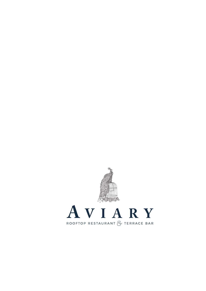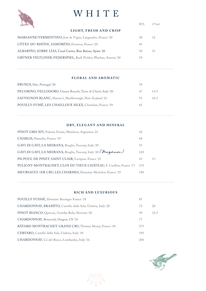# WHITE



| 中国                                                              | BTL. | 175ml |
|-----------------------------------------------------------------|------|-------|
| LIGHT, FRESH AND CRISP                                          |      |       |
| MARSANNE/VERMENTINO, Joie de Vigne, Languedoc, France '20       | 38   | 12    |
| CÔTES-DU-RHÔNE, SAMORËNS, Ferraton, France '20                  | 45   |       |
| ALBARIÑO, SOBRE LÍAS, Casal Caeiro, Rías Baixas, Spain '20      | 50   | 15    |
| GRÜNER VELTLINER, FEDERSPIEL, Rudi Pichler, Wachau, Austria '20 | 59   |       |

## **FLORAL AND AROMATIC**

| PRUNUS, Dão, Portugal '20                                     | 39  |      |
|---------------------------------------------------------------|-----|------|
| PECORINO, VELLODORO, Umani Ronchi, Terre di Chieti, Italy '20 | 47  | 14.5 |
| SAUVIGNON BLANC, Hunter's, Marlborough, New Zealand '21       | 55. | 16.5 |
| POUILLY-FUMÉ, LES CHAILLOUX SILEX, Chatelain, France '18      | 65  |      |

### **DRY, ELEGANT AND MINERAL**

| PINOT GRIS XIV, Pulenta Estate, Mendoza, Argentina '21             | 42  |  |
|--------------------------------------------------------------------|-----|--|
| CHABLIS, Hamelin, France '19                                       | 68  |  |
| GAVI DI GAVI, LA MEIRANA, Broglia, Tuscany, Italy '20              | 55  |  |
| GAVI DI GAVI, LA MEIRANA, Broglia, Tuscany, Italy '20 (Magnum)     | 120 |  |
| PICPOUL DE PINET, SAINT CLAIR, Luvignac France '21                 | 43  |  |
| PULIGNY-MONTRACHET, CLOS DU VIEUX CHÂTEAU, F. Carillon, France '17 | 170 |  |
| MEURSAULT 1ER CRU, LES CHARMES, Domaine Michelot, France '19       | 180 |  |

### **RICH AND LUXURIOUS**

| POUILLY-FUISSÉ, Domaine Beranger France '18                 | 85  |      |
|-------------------------------------------------------------|-----|------|
| CHARDONNAY, BRAMÌTO, Castello della Sala, Umbria, Italy '20 | 72  | 20   |
| PINOT BIANCO, Quercus, Goriška Brda, Slovenia '20           | 39  | 12.5 |
| CHARDONNAY, Roserock, Oregon, US '18                        | 77  |      |
| BÂTARD-MONTRACHET GRAND CRU, Thomas Morey, France '18       | 575 |      |
| CERVARO, Castello della Sala, Umbria, Italy '18             | 195 |      |
| CHARDONNAY, Ca' del Bosco, Lombardia, Italy '16             | 200 |      |

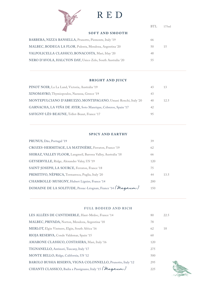

## RED

BTL 175ml

#### **SOFT AND SMOOTH**

| BARBERA, NIZZA BANSELLA, Prunotto, Piemonte, Italy '19     | 66 |  |
|------------------------------------------------------------|----|--|
| MALBEC, BODEGA LA FLOR, Pulenta, Mendoza, Argentina '20    | 50 |  |
| VALPOLICELLA CLASSICO, BONACOSTA, Masi, Itlay '20          | 48 |  |
| NERO D'AVOLA, HALCYON DAY, Unico Zelo, South Australia '20 | 55 |  |

## **BRIGHT AND JUICY**

| PINOT NOIR, La La Land, Victoria, Australia '19               | 43 | 13   |
|---------------------------------------------------------------|----|------|
| XINOMAVRO, Thymiopoulos, Naoussa, Greece '19                  | 43 |      |
| MONTEPULCIANO D'ABRUZZO, MONTIPAGANO, Umani Ronchi, Italy '20 | 40 | 12.5 |
| GARNACHA, LA VIÑA DE AYER, Soto Manrique, Cebreros, Spain '17 | 42 |      |
| SAVIGNY-LÈS-BEAUNE, Tollot-Beaut, France '17                  | 95 |      |

#### **SPICY AND EARTHY**

| PRUNUS, Dão, Portugal '19                                     | 39  |      |
|---------------------------------------------------------------|-----|------|
| CROZES-HERMITAGE, LA MATINIÈRE, Ferraton, France '19          | 62  |      |
| SHIRAZ, VALLEY FLOOR, Langmeil, Barossa Valley, Australia '18 | 66  |      |
| GEYSERVILLE, Ridge, Alexander Valey, US '19                   | 120 |      |
| SAINT-JOSEPH, LA SOURCE, Ferraton, France '18                 | 75  |      |
| PRIMITIVO, NÈPRICA, Tormaresca, Puglia, Italy '20             | 44  | 13.5 |
| CHAMBOLLE-MUSIGNY, Hubert Lignier, France '14                 | 200 |      |
| DOMAINE DE LA SOLITUDE, Pessac-Léognan, France '14 (Magnum)   | 150 |      |
|                                                               |     |      |

#### **FULL BODIED AND RICH**

| LES ALLÉES DE CANTEMERLE, Haut-Médoc, France '14             | 80  | 22.5 |
|--------------------------------------------------------------|-----|------|
| MALBEC, PRIVADA, Norton, Mendoza, Argentina '18              | 78  |      |
| MERLOT, Elgin Vintners, Elgin, South Africa '16              | 62  | 18   |
| RIOJA RESERVA, Conde Valdemar, Spain '15                     | 60  |      |
| AMARONE CLASSICO, COSTASERA, Masi, Italy '16                 | 120 |      |
| TIGNANELLO, Antinori, Tuscany, Italy '17                     | 275 |      |
| MONTE BELLO, Ridge, California, US '12                       | 500 |      |
| BAROLO BUSSIA RISERVA, VIGNA COLONNELLO, Prunotto, Italy '12 | 295 |      |
| CHIANTI CLASSICO, Badia a Passignano, Italy '15 (Magnum)     | 225 |      |